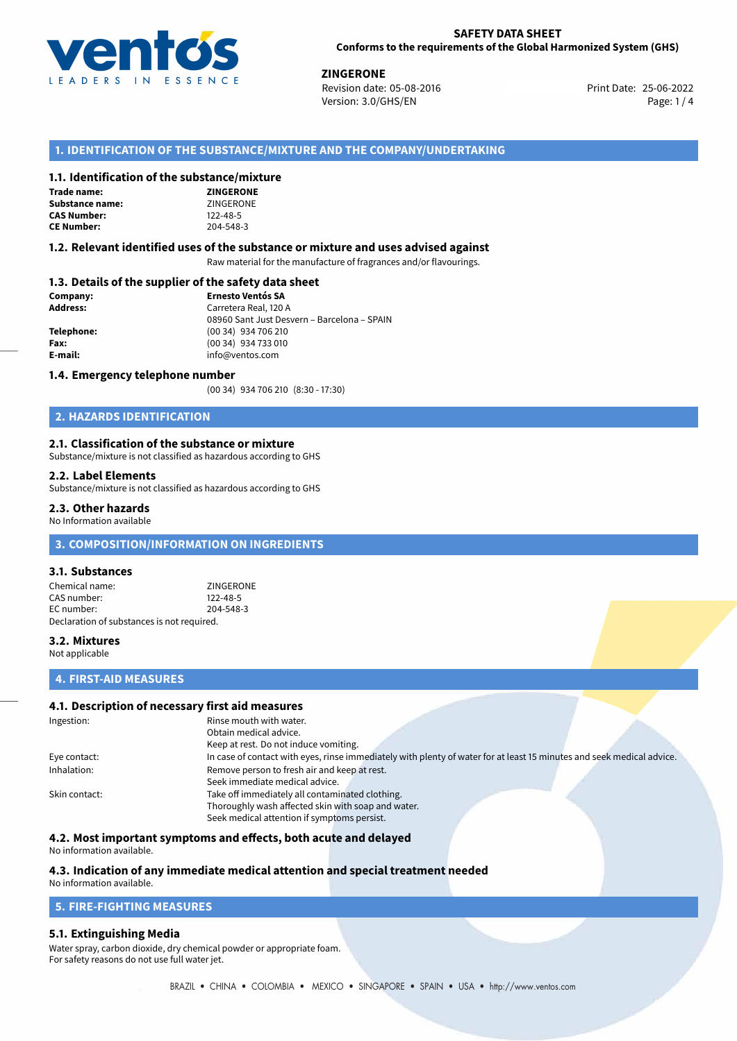

25-06-2022 **ZINGERONE** Revision date: 05-08-2016 Print Date: Version: 3.0/GHS/EN Page: 1 / 4

## **1. IDENTIFICATION OF THE SUBSTANCE/MIXTURE AND THE COMPANY/UNDERTAKING**

#### **1.1. Identification of the substance/mixture**

#### **NE Trade name:**

| ZINGERONE      |
|----------------|
| ZINGERONE      |
| $122 - 48 - 5$ |
| 204-548-3      |
|                |

#### **1.2. Relevant identified uses of the substance or mixture and uses advised against**

Raw material for the manufacture of fragrances and/or flavourings.

# **1.3. Details of the supplier of the safety data sheet**

| Company:        | <b>Ernesto Ventós SA</b>                    |  |
|-----------------|---------------------------------------------|--|
| <b>Address:</b> | Carretera Real, 120 A                       |  |
|                 | 08960 Sant Just Desvern - Barcelona - SPAIN |  |
| Telephone:      | (00 34) 934 706 210                         |  |
| Fax:            | (00 34) 934 733 010                         |  |
| E-mail:         | info@ventos.com                             |  |
|                 |                                             |  |

#### **1.4. Emergency telephone number**

(00 34) 934 706 210 (8:30 - 17:30)

## **2. HAZARDS IDENTIFICATION**

#### **2.1. Classification of the substance or mixture**

Substance/mixture is not classified as hazardous according to GHS

#### **2.2. Label Elements**

Substance/mixture is not classified as hazardous according to GHS

#### **2.3. Other hazards**

No Information available

### **3. COMPOSITION/INFORMATION ON INGREDIENTS**

#### **3.1. Substances**

Chemical name:<br>
CAS number: 
2122-48-5 CAS number: EC number: 204-548-3 Declaration of substances is not required.

#### **3.2. Mixtures**

Not applicable

#### **4. FIRST-AID MEASURES**

#### **4.1. Description of necessary first aid measures**

| Ingestion:    | Rinse mouth with water.                                                                                               |
|---------------|-----------------------------------------------------------------------------------------------------------------------|
|               | Obtain medical advice.                                                                                                |
|               | Keep at rest. Do not induce vomiting.                                                                                 |
| Eye contact:  | In case of contact with eyes, rinse immediately with plenty of water for at least 15 minutes and seek medical advice. |
| Inhalation:   | Remove person to fresh air and keep at rest.                                                                          |
|               | Seek immediate medical advice.                                                                                        |
| Skin contact: | Take off immediately all contaminated clothing.                                                                       |
|               | Thoroughly wash affected skin with soap and water.                                                                    |
|               | Seek medical attention if symptoms persist.                                                                           |

#### **4.2. Most important symptoms and effects, both acute and delayed**

No information available.

# **4.3. Indication of any immediate medical attention and special treatment needed**

# No information available.

# **5. FIRE-FIGHTING MEASURES**

#### **5.1. Extinguishing Media**

Water spray, carbon dioxide, dry chemical powder or appropriate foam. For safety reasons do not use full water jet.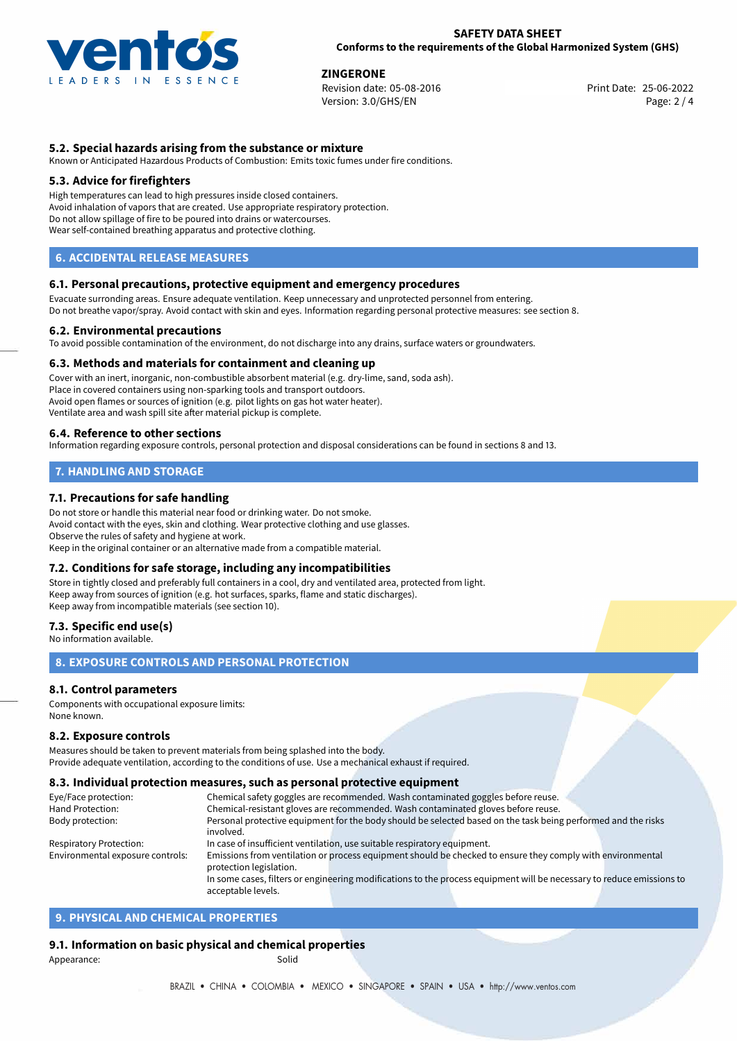

**ZINGERONE**<br>
Revision date: 05-08-2016<br> **Revision date: 05-08-2016** Revision date: 05-08-2016 Version: 3.0/GHS/EN Page: 2 / 4

### **5.2. Special hazards arising from the substance or mixture**

Known or Anticipated Hazardous Products of Combustion: Emits toxic fumes under fire conditions.

#### **5.3. Advice for firefighters**

High temperatures can lead to high pressures inside closed containers. Avoid inhalation of vapors that are created. Use appropriate respiratory protection. Do not allow spillage of fire to be poured into drains or watercourses. Wear self-contained breathing apparatus and protective clothing.

#### **6. ACCIDENTAL RELEASE MEASURES**

#### **6.1. Personal precautions, protective equipment and emergency procedures**

Evacuate surronding areas. Ensure adequate ventilation. Keep unnecessary and unprotected personnel from entering. Do not breathe vapor/spray. Avoid contact with skin and eyes. Information regarding personal protective measures: see section 8.

#### **6.2. Environmental precautions**

To avoid possible contamination of the environment, do not discharge into any drains, surface waters or groundwaters.

#### **6.3. Methods and materials for containment and cleaning up**

Cover with an inert, inorganic, non-combustible absorbent material (e.g. dry-lime, sand, soda ash). Place in covered containers using non-sparking tools and transport outdoors. Avoid open flames or sources of ignition (e.g. pilot lights on gas hot water heater). Ventilate area and wash spill site after material pickup is complete.

#### **6.4. Reference to other sections**

Information regarding exposure controls, personal protection and disposal considerations can be found in sections 8 and 13.

# **7. HANDLING AND STORAGE**

#### **7.1. Precautions for safe handling**

Do not store or handle this material near food or drinking water. Do not smoke. Avoid contact with the eyes, skin and clothing. Wear protective clothing and use glasses. Observe the rules of safety and hygiene at work. Keep in the original container or an alternative made from a compatible material.

#### **7.2. Conditions for safe storage, including any incompatibilities**

Store in tightly closed and preferably full containers in a cool, dry and ventilated area, protected from light. Keep away from sources of ignition (e.g. hot surfaces, sparks, flame and static discharges). Keep away from incompatible materials (see section 10).

#### **7.3. Specific end use(s)**

No information available.

#### **8. EXPOSURE CONTROLS AND PERSONAL PROTECTION**

#### **8.1. Control parameters**

Components with occupational exposure limits: None known.

#### **8.2. Exposure controls**

Measures should be taken to prevent materials from being splashed into the body. Provide adequate ventilation, according to the conditions of use. Use a mechanical exhaust if required.

#### **8.3. Individual protection measures, such as personal protective equipment**

acceptable levels.

| Eye/Face protection:             | Chemical safety goggles are recommended. Wash contaminated goggles before reuse.                                      |  |  |  |
|----------------------------------|-----------------------------------------------------------------------------------------------------------------------|--|--|--|
| Hand Protection:                 | Chemical-resistant gloves are recommended. Wash contaminated gloves before reuse.                                     |  |  |  |
| Body protection:                 | Personal protective equipment for the body should be selected based on the task being performed and the risks         |  |  |  |
|                                  | involved.                                                                                                             |  |  |  |
| <b>Respiratory Protection:</b>   | In case of insufficient ventilation, use suitable respiratory equipment.                                              |  |  |  |
| Environmental exposure controls: | Emissions from ventilation or process equipment should be checked to ensure they comply with environmental            |  |  |  |
|                                  | protection legislation.                                                                                               |  |  |  |
|                                  | In some cases, filters or engineering modifications to the process equipment will be necessary to reduce emissions to |  |  |  |

# **9. PHYSICAL AND CHEMICAL PROPERTIES**

# **9.1. Information on basic physical and chemical properties**

Appearance: Solid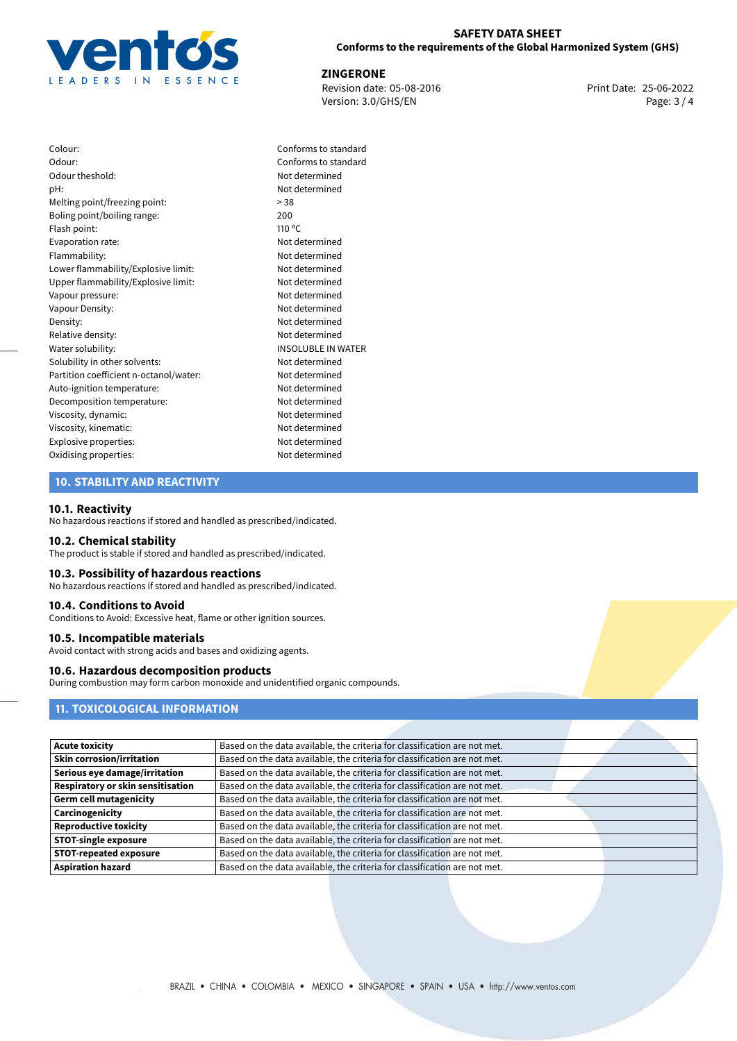

25-06-2022 **ZINGERONE** Revision date: 05-08-2016 Print Date: Version: 3.0/GHS/EN Page: 3 / 4

| Colour:                                | Confc           |
|----------------------------------------|-----------------|
| Odour:                                 | Confo           |
| Odour theshold:                        | Not d           |
| pH:                                    | Not d           |
| Melting point/freezing point:          | > 38            |
| Boling point/boiling range:            | 200             |
| Flash point:                           | $110^{\circ}$ C |
| Evaporation rate:                      | Not d           |
| Flammability:                          | Not d           |
| Lower flammability/Explosive limit:    | Not d           |
| Upper flammability/Explosive limit:    | Not d           |
| Vapour pressure:                       | Not d           |
| Vapour Density:                        | Not d           |
| Density:                               | Not d           |
| Relative density:                      | Not d           |
| Water solubility:                      | <b>INSOL</b>    |
| Solubility in other solvents:          | Not d           |
| Partition coefficient n-octanol/water: | Not d           |
| Auto-ignition temperature:             | Not d           |
| Decomposition temperature:             | Not d           |
| Viscosity, dynamic:                    | Not d           |
| Viscosity, kinematic:                  | Not d           |
| Explosive properties:                  | Not d           |
| Oxidising properties:                  | Not d           |

Conforms to standard Conforms to standard Not determined Not determined Not determined Flammability: Not determined Not determined Not determined Not determined Not determined Not determined Relative density: Not determined **INSOLUBLE IN WATER** Not determined Not determined Not determined Not determined Not determined Not determined Not determined Not determined

# **10. STABILITY AND REACTIVITY**

#### **10.1. Reactivity**

No hazardous reactions if stored and handled as prescribed/indicated.

#### **10.2. Chemical stability**

The product is stable if stored and handled as prescribed/indicated.

## **10.3. Possibility of hazardous reactions**

No hazardous reactions if stored and handled as prescribed/indicated.

#### **10.4. Conditions to Avoid**

Conditions to Avoid: Excessive heat, flame or other ignition sources.

#### **10.5. Incompatible materials**

Avoid contact with strong acids and bases and oxidizing agents.

### **10.6. Hazardous decomposition products**

During combustion may form carbon monoxide and unidentified organic compounds.

# **11. TOXICOLOGICAL INFORMATION**

| <b>Acute toxicity</b>             | Based on the data available, the criteria for classification are not met. |
|-----------------------------------|---------------------------------------------------------------------------|
| <b>Skin corrosion/irritation</b>  | Based on the data available, the criteria for classification are not met. |
| Serious eye damage/irritation     | Based on the data available, the criteria for classification are not met. |
| Respiratory or skin sensitisation | Based on the data available, the criteria for classification are not met. |
| <b>Germ cell mutagenicity</b>     | Based on the data available, the criteria for classification are not met. |
| Carcinogenicity                   | Based on the data available, the criteria for classification are not met. |
| <b>Reproductive toxicity</b>      | Based on the data available, the criteria for classification are not met. |
| <b>STOT-single exposure</b>       | Based on the data available, the criteria for classification are not met. |
| <b>STOT-repeated exposure</b>     | Based on the data available, the criteria for classification are not met. |
| <b>Aspiration hazard</b>          | Based on the data available, the criteria for classification are not met. |
|                                   |                                                                           |